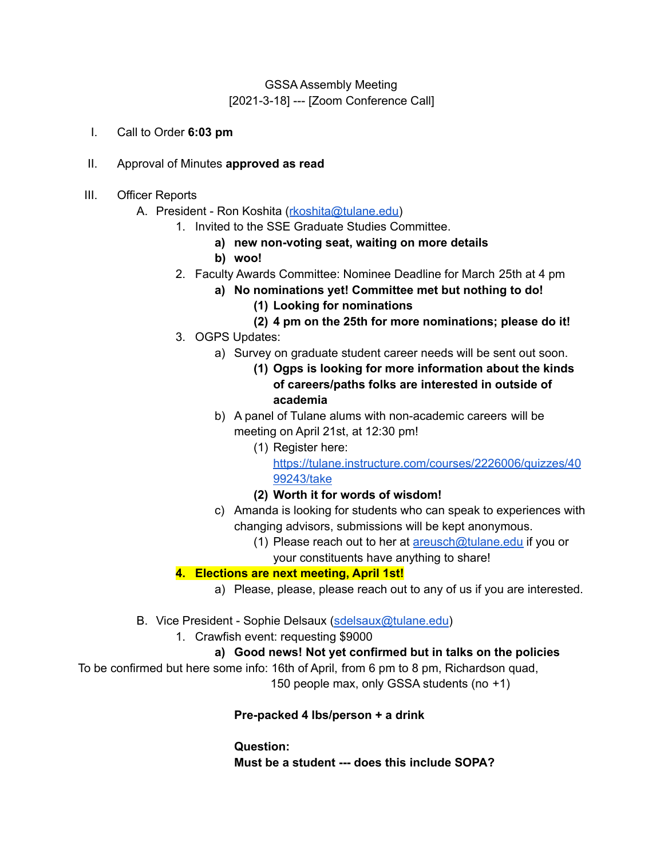# GSSA Assembly Meeting [2021-3-18] --- [Zoom Conference Call]

- I. Call to Order **6:03 pm**
- II. Approval of Minutes **approved as read**
- III. Officer Reports
	- A. President Ron Koshita ([rkoshita@tulane.edu\)](mailto:rkoshita@tulane.edu)
		- 1. Invited to the SSE Graduate Studies Committee.
			- **a) new non-voting seat, waiting on more details**
			- **b) woo!**
		- 2. Faculty Awards Committee: Nominee Deadline for March 25th at 4 pm
			- **a) No nominations yet! Committee met but nothing to do!**
				- **(1) Looking for nominations**
				- **(2) 4 pm on the 25th for more nominations; please do it!**
		- 3. OGPS Updates:
			- a) Survey on graduate student career needs will be sent out soon.
				- **(1) Ogps is looking for more information about the kinds of careers/paths folks are interested in outside of academia**
			- b) A panel of Tulane alums with non-academic careers will be meeting on April 21st, at 12:30 pm!
				- (1) Register here: [https://tulane.instructure.com/courses/2226006/quizzes/40](https://tulane.instructure.com/courses/2226006/quizzes/4099243/take) [99243/take](https://tulane.instructure.com/courses/2226006/quizzes/4099243/take)
				- **(2) Worth it for words of wisdom!**
			- c) Amanda is looking for students who can speak to experiences with changing advisors, submissions will be kept anonymous.
				- (1) Please reach out to her at  $\frac{\text{areush@tulane.edu}}{\text{at} \cdot \text{at} \cdot \text{at} \cdot \text{at} \cdot \text{at} \cdot \text{at}}$  if you or
					- your constituents have anything to share!

## **4. Elections are next meeting, April 1st!**

- a) Please, please, please reach out to any of us if you are interested.
- B. Vice President Sophie Delsaux [\(sdelsaux@tulane.edu](mailto:sdelsaux@tulane.edu))
	- 1. Crawfish event: requesting \$9000
		- **a) Good news! Not yet confirmed but in talks on the policies**

To be confirmed but here some info: 16th of April, from 6 pm to 8 pm, Richardson quad,

150 people max, only GSSA students (no +1)

## **Pre-packed 4 lbs/person + a drink**

**Question: Must be a student --- does this include SOPA?**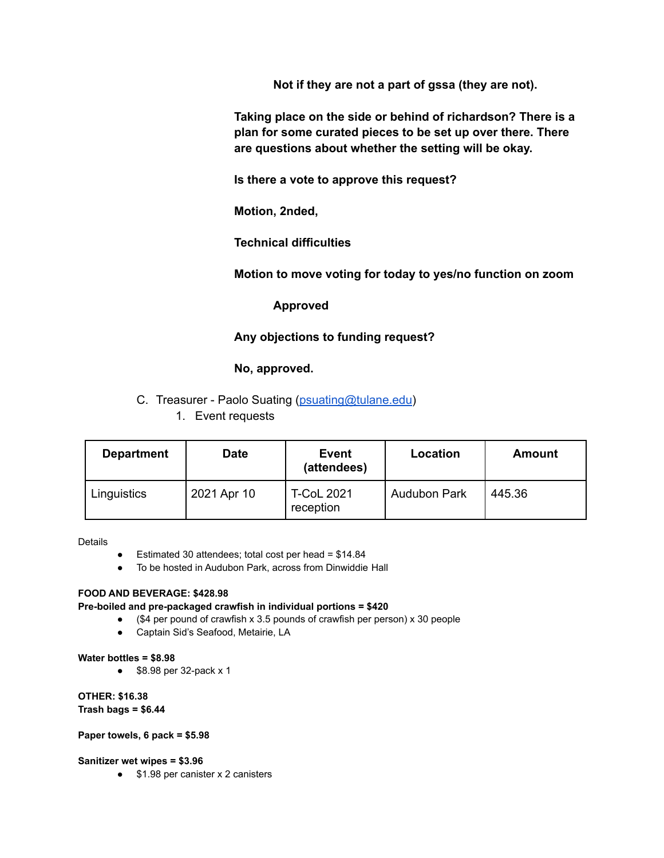**Not if they are not a part of gssa (they are not).**

**Taking place on the side or behind of richardson? There is a plan for some curated pieces to be set up over there. There are questions about whether the setting will be okay.**

**Is there a vote to approve this request?**

**Motion, 2nded,**

**Technical difficulties**

**Motion to move voting for today to yes/no function on zoom**

### **Approved**

## **Any objections to funding request?**

**No, approved.**

- C. Treasurer Paolo Suating [\(psuating@tulane.edu](mailto:psuating@tulane.edu))
	- 1. Event requests

| <b>Department</b> | <b>Date</b> | Event<br>(attendees)           | Location            | <b>Amount</b> |
|-------------------|-------------|--------------------------------|---------------------|---------------|
| Linguistics       | 2021 Apr 10 | <b>T-CoL 2021</b><br>reception | <b>Audubon Park</b> | 445.36        |

Details

- Estimated 30 attendees; total cost per head = \$14.84
- To be hosted in Audubon Park, across from Dinwiddie Hall

#### **FOOD AND BEVERAGE: \$428.98**

#### **Pre-boiled and pre-packaged crawfish in individual portions = \$420**

- (\$4 per pound of crawfish x 3.5 pounds of crawfish per person) x 30 people
- Captain Sid's Seafood, Metairie, LA

#### **Water bottles = \$8.98**

● \$8.98 per 32-pack x 1

**OTHER: \$16.38 Trash bags = \$6.44**

#### **Paper towels, 6 pack = \$5.98**

#### **Sanitizer wet wipes = \$3.96**

● \$1.98 per canister x 2 canisters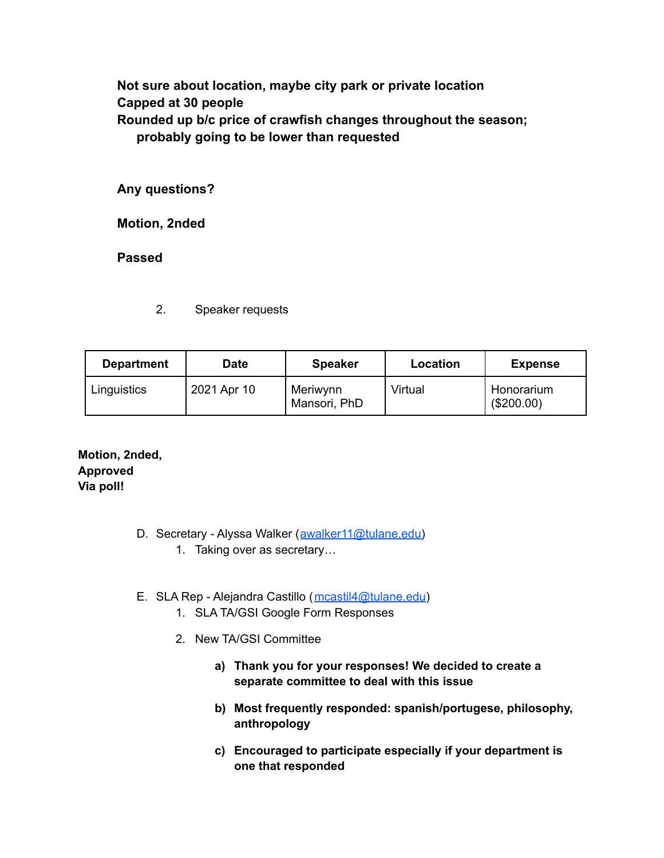**Not sure about location, maybe city park or private location Capped at 30 people Rounded up b/c price of crawfish changes throughout the season; probably going to be lower than requested**

**Any questions?**

**Motion, 2nded**

**Passed**

2. Speaker requests

| <b>Department</b> | Date        | <b>Speaker</b>           | Location | <b>Expense</b>           |
|-------------------|-------------|--------------------------|----------|--------------------------|
| Linguistics       | 2021 Apr 10 | Meriwynn<br>Mansori, PhD | Virtual  | Honorarium<br>(\$200.00) |

**Motion, 2nded, Approved Via poll!**

- D. Secretary Alyssa Walker ([awalker11@tulane.edu\)](mailto:awalker11@tulane.edu)
	- 1. Taking over as secretary…
- E. SLA Rep Alejandra Castillo ([mcastil4@tulane.edu\)](mailto:mcastil4@tulane.edu)
	- 1. SLA TA/GSI Google Form Responses
	- 2. New TA/GSI Committee
		- **a) Thank you for your responses! We decided to create a separate committee to deal with this issue**
		- **b) Most frequently responded: spanish/portugese, philosophy, anthropology**
		- **c) Encouraged to participate especially if your department is one that responded**